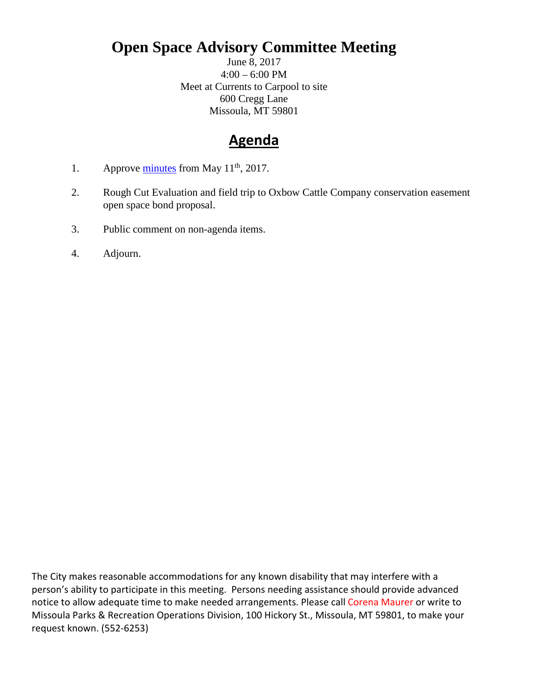## **Open Space Advisory Committee Meeting**

June 8, 2017 4:00 – 6:00 PM Meet at Currents to Carpool to site 600 Cregg Lane Missoula, MT 59801

## **Agenda**

- 1. Approve  $\frac{\text{minutes}}{\text{from May 11}}$ <sup>th</sup>, 2017.
- 2. Rough Cut Evaluation and field trip to Oxbow Cattle Company conservation easement open space bond proposal.
- 3. Public comment on non-agenda items.
- 4. Adjourn.

The City makes reasonable accommodations for any known disability that may interfere with a person's ability to participate in this meeting. Persons needing assistance should provide advanced notice to allow adequate time to make needed arrangements. Please call Corena Maurer or write to Missoula Parks & Recreation Operations Division, 100 Hickory St., Missoula, MT 59801, to make your request known. (552-6253)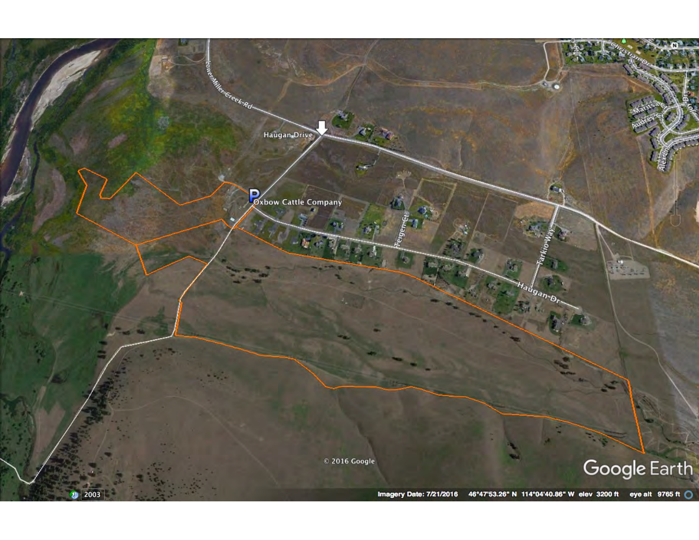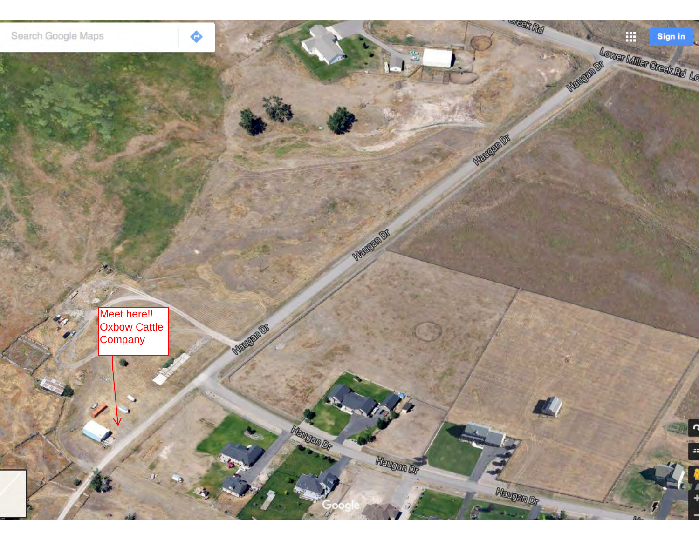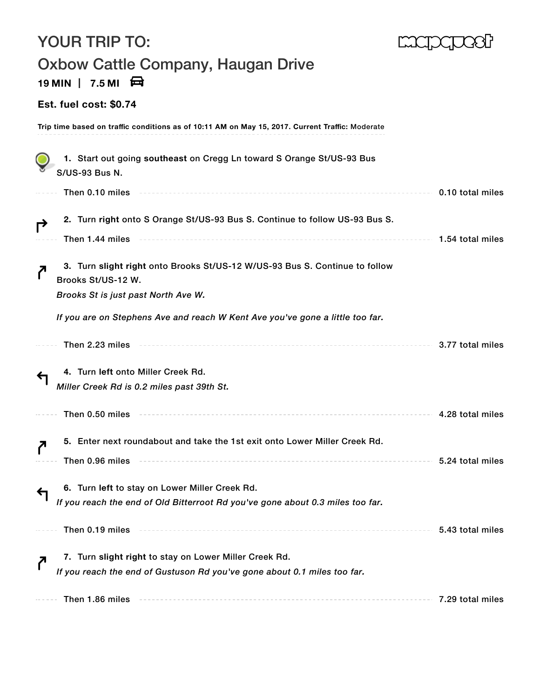| <b>YOUR TRIP TO:</b>                                                                                                                     |                  |
|------------------------------------------------------------------------------------------------------------------------------------------|------------------|
| Oxbow Cattle Company, Haugan Drive<br>19 MIN $\parallel$ 7.5 MI $\Box$                                                                   |                  |
| <b>Est. fuel cost: \$0.74</b>                                                                                                            |                  |
| Trip time based on traffic conditions as of 10:11 AM on May 15, 2017. Current Traffic: Moderate                                          |                  |
| 1. Start out going southeast on Cregg Ln toward S Orange St/US-93 Bus<br><b>S/US-93 Bus N.</b>                                           |                  |
| Then 0.10 miles                                                                                                                          | 0.10 total miles |
| 2. Turn right onto S Orange St/US-93 Bus S. Continue to follow US-93 Bus S.<br>$\rightarrow$<br>Then 1.44 miles                          | 1.54 total miles |
| 3. Turn slight right onto Brooks St/US-12 W/US-93 Bus S. Continue to follow<br>Brooks St/US-12 W.<br>Brooks St is just past North Ave W. |                  |
| If you are on Stephens Ave and reach W Kent Ave you've gone a little too far.                                                            |                  |
|                                                                                                                                          |                  |
| Then 2.23 miles                                                                                                                          | 3.77 total miles |
| 4. Turn left onto Miller Creek Rd.                                                                                                       |                  |
| Miller Creek Rd is 0.2 miles past 39th St.                                                                                               |                  |
| Then 0.50 miles                                                                                                                          | 4.28 total miles |
| 5. Enter next roundabout and take the 1st exit onto Lower Miller Creek Rd.                                                               |                  |
| Then 0.96 miles                                                                                                                          | 5.24 total miles |
| 6. Turn left to stay on Lower Miller Creek Rd.<br>If you reach the end of Old Bitterroot Rd you've gone about 0.3 miles too far.         |                  |
| Then 0.19 miles                                                                                                                          | 5.43 total miles |
| 7. Turn slight right to stay on Lower Miller Creek Rd.<br>If you reach the end of Gustuson Rd you've gone about 0.1 miles too far.       |                  |
| Then 1.86 miles                                                                                                                          | 7.29 total miles |